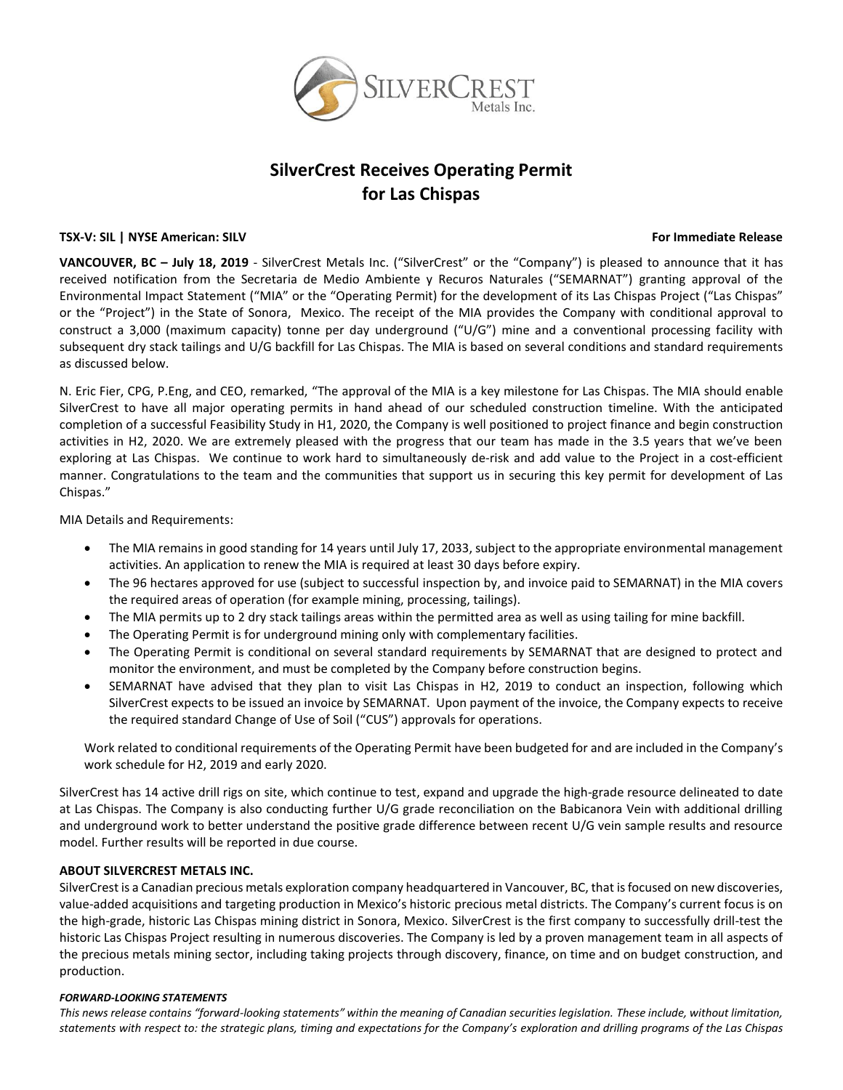

# **SilverCrest Receives Operating Permit for Las Chispas**

## **TSX-V: SIL | NYSE American: SILV For Immediate Release**

**VANCOUVER, BC – July 18, 2019** - SilverCrest Metals Inc. ("SilverCrest" or the "Company") is pleased to announce that it has received notification from the Secretaria de Medio Ambiente y Recuros Naturales ("SEMARNAT") granting approval of the Environmental Impact Statement ("MIA" or the "Operating Permit) for the development of its Las Chispas Project ("Las Chispas" or the "Project") in the State of Sonora, Mexico. The receipt of the MIA provides the Company with conditional approval to construct a 3,000 (maximum capacity) tonne per day underground ("U/G") mine and a conventional processing facility with subsequent dry stack tailings and U/G backfill for Las Chispas. The MIA is based on several conditions and standard requirements as discussed below.

N. Eric Fier, CPG, P.Eng, and CEO, remarked, "The approval of the MIA is a key milestone for Las Chispas. The MIA should enable SilverCrest to have all major operating permits in hand ahead of our scheduled construction timeline. With the anticipated completion of a successful Feasibility Study in H1, 2020, the Company is well positioned to project finance and begin construction activities in H2, 2020. We are extremely pleased with the progress that our team has made in the 3.5 years that we've been exploring at Las Chispas. We continue to work hard to simultaneously de-risk and add value to the Project in a cost-efficient manner. Congratulations to the team and the communities that support us in securing this key permit for development of Las Chispas."

MIA Details and Requirements:

- The MIA remains in good standing for 14 years until July 17, 2033, subject to the appropriate environmental management activities. An application to renew the MIA is required at least 30 days before expiry.
- The 96 hectares approved for use (subject to successful inspection by, and invoice paid to SEMARNAT) in the MIA covers the required areas of operation (for example mining, processing, tailings).
- The MIA permits up to 2 dry stack tailings areas within the permitted area as well as using tailing for mine backfill.
- The Operating Permit is for underground mining only with complementary facilities.
- The Operating Permit is conditional on several standard requirements by SEMARNAT that are designed to protect and monitor the environment, and must be completed by the Company before construction begins.
- SEMARNAT have advised that they plan to visit Las Chispas in H2, 2019 to conduct an inspection, following which SilverCrest expects to be issued an invoice by SEMARNAT. Upon payment of the invoice, the Company expects to receive the required standard Change of Use of Soil ("CUS") approvals for operations.

Work related to conditional requirements of the Operating Permit have been budgeted for and are included in the Company's work schedule for H2, 2019 and early 2020.

SilverCrest has 14 active drill rigs on site, which continue to test, expand and upgrade the high-grade resource delineated to date at Las Chispas. The Company is also conducting further U/G grade reconciliation on the Babicanora Vein with additional drilling and underground work to better understand the positive grade difference between recent U/G vein sample results and resource model. Further results will be reported in due course.

# **ABOUT SILVERCREST METALS INC.**

SilverCrest is a Canadian precious metals exploration company headquartered in Vancouver, BC, that is focused on new discoveries, value-added acquisitions and targeting production in Mexico's historic precious metal districts. The Company's current focus is on the high-grade, historic Las Chispas mining district in Sonora, Mexico. SilverCrest is the first company to successfully drill-test the historic Las Chispas Project resulting in numerous discoveries. The Company is led by a proven management team in all aspects of the precious metals mining sector, including taking projects through discovery, finance, on time and on budget construction, and production.

### *FORWARD‐LOOKING STATEMENTS*

*This news release contains "forward-looking statements" within the meaning of Canadian securities legislation. These include, without limitation,*  statements with respect to: the strategic plans, timing and expectations for the Company's exploration and drilling programs of the Las Chispas